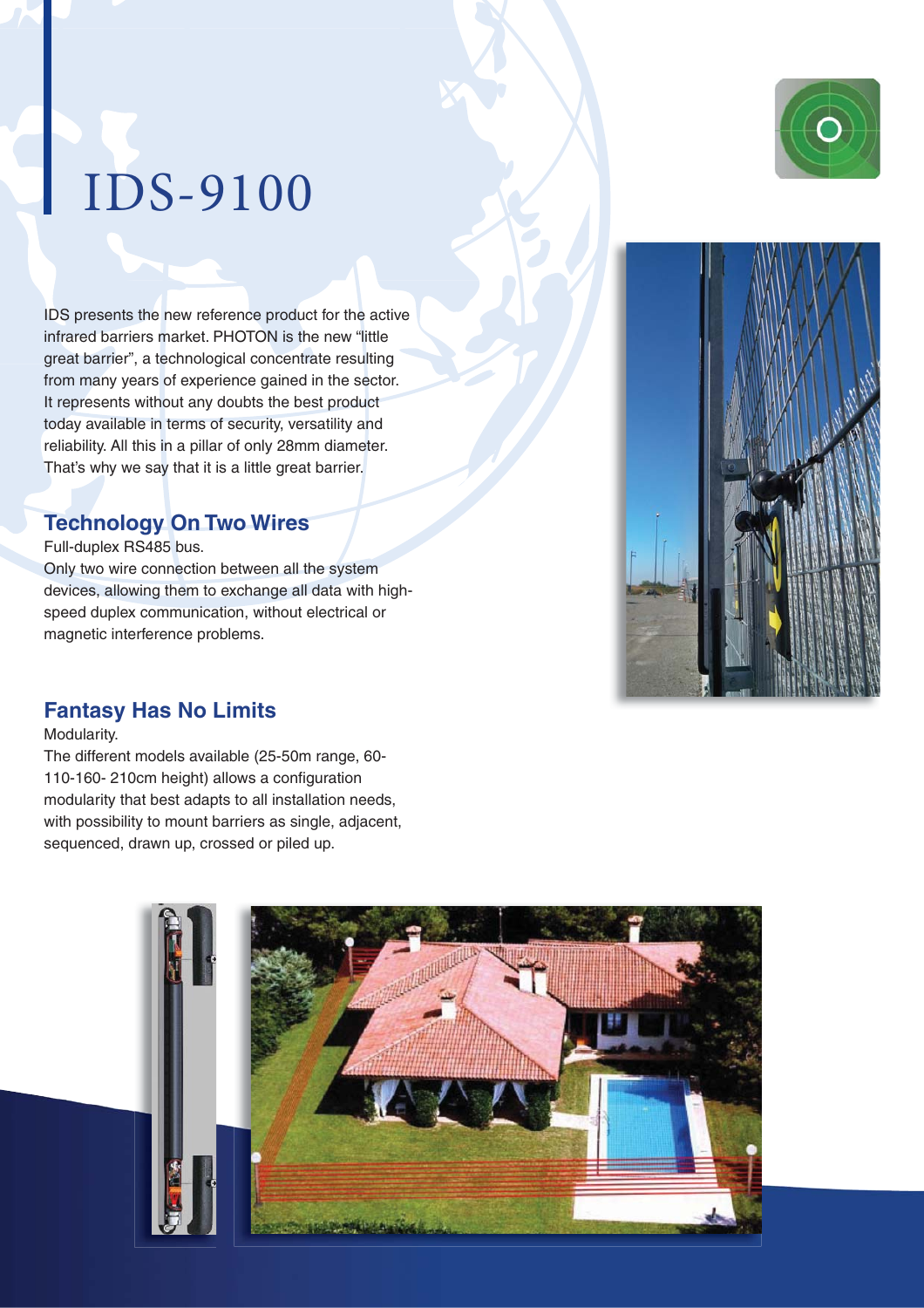## IDS-9100

IDS presents the new reference product for the active infrared barriers market. PHOTON is the new "little great barrier", a technological concentrate resulting from many years of experience gained in the sector. It represents without any doubts the best product today available in terms of security, versatility and reliability. All this in a pillar of only 28mm diameter. That's why we say that it is a little great barrier.

#### **Technology On Two Wires**

Full-duplex RS485 bus.

Only two wire connection between all the system devices, allowing them to exchange all data with highspeed duplex communication, without electrical or magnetic interference problems.



### **Fantasy Has No Limits**

Modularity.

The different models available (25-50m range, 60- 110-160- 210cm height) allows a configuration modularity that best adapts to all installation needs, with possibility to mount barriers as single, adjacent, sequenced, drawn up, crossed or piled up.